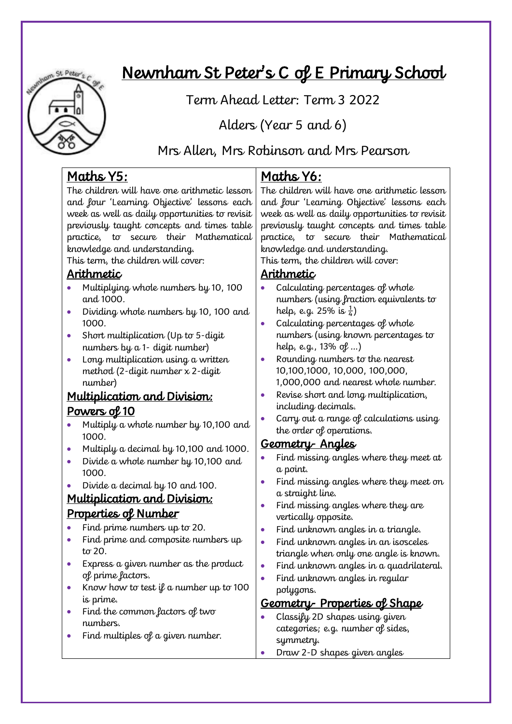

# Newnham St Peter's C of E Primary School

Term Ahead Letter: Term 3 2022

Alders (Year 5 and 6)

Mrs Allen, Mrs Robinson and Mrs Pearson

# Maths Y5:

The children will have one arithmetic lesson and four 'Learning Objective' lessons each week as well as daily opportunities to revisit previously taught concepts and times table practice, to secure their Mathematical knowledge and understanding.

This term, the children will cover:

#### Arithmetic

- Multiplying whole numbers by 10, 100 and 1000.
- Dividing whole numbers by 10, 100 and 1000.
- Short multiplication (Up to 5-digit numbers by a 1- digit number)
- Long multiplication using a written method (2-digit number x 2-digit number)

# Multiplication and Division: Powers of 10

- Multiply a whole number by 10,100 and 1000.
- Multiply a decimal by 10,100 and 1000.
- Divide a whole number by 10,100 and 1000.
- Divide a decimal by 10 and 100.

#### Multiplication and Division: Properties of Number

- Find prime numbers up to 20.
- Find prime and composite numbers up  $t\sigma$  20.
- Express a given number as the product of prime factors.
- Know how to test  $\mathfrak l$  a number up to 100 is prime.
- Find the common factors of two numbers.
- Find multiples of a given number.

# Maths Y6:

The children will have one arithmetic lesson and four 'Learning Objective' lessons each week as well as daily opportunities to revisit previously taught concepts and times table practice, to secure their Mathematical knowledge and understanding.

This term, the children will cover:

#### Arithmetic

- Calculating percentages of whole numbers (using fraction equivalents to help, e.g. 25% is  $\frac{1}{4}$ )
- Calculating percentages of whole numbers (using known percentages to help, e.g., 13% of …)
- Rounding numbers to the nearest 10,100,1000, 10,000, 100,000, 1,000,000 and nearest whole number.
- Revise short and long multiplication, including decimals.
- Carry out a range of calculations using the order of operations.

#### Geometry- Angles

- Find missing angles where they meet at a point.
- Find missing angles where they meet on a straight line.
- Find missing angles where they are vertically opposite.
- Find unknown angles in a triangle.
- Find unknown angles in an isosceles triangle when only one angle is known.
- Find unknown angles in a quadrilateral.
- Find unknown angles in regular polygons.

#### Geometry- Properties of Shape

- Classify 2D shapes using given categories; e.g. number of sides, symmetry.
- Draw 2-D shapes given angles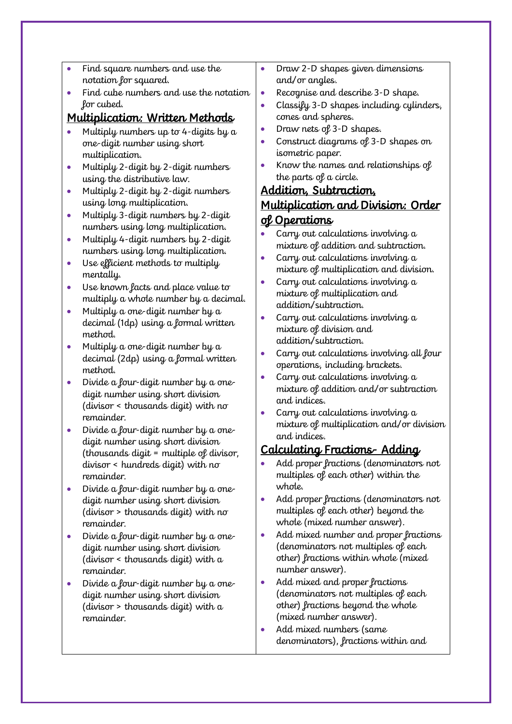- Find square numbers and use the notation for squared.
- Find cube numbers and use the notation for cubed.

#### Multiplication: Written Methods

- Multiply numbers up to 4-digits by a one-digit number using short multiplication.
- Multiply 2-digit by 2-digit numbers using the distributive law.
- Multiply 2-digit by 2-digit numbers using long multiplication.
- Multiply 3-digit numbers by 2-digit numbers using long multiplication.
- Multiply 4-digit numbers by 2-digit numbers using long multiplication.
- Use efficient methods to multiply mentally.
- Use known facts and place value to multiply a whole number by a decimal.
- Multiply a one-digit number by a decimal (1dp) using a formal written method.
- Multiply a one-digit number by a decimal (2dp) using a formal written method.
- Divide a four-digit number by a onedigit number using short division (divisor < thousands digit) with no remainder.
- Divide a four-digit number by a onedigit number using short division (thousands digit = multiple of divisor, divisor < hundreds digit) with no remainder.
- Divide a four-digit number by a onedigit number using short division (divisor > thousands digit) with no remainder.
- Divide a four-digit number by a onedigit number using short division (divisor < thousands digit) with a remainder.
- Divide a four-digit number by a onedigit number using short division (divisor > thousands digit) with a remainder.
- Draw 2-D shapes given dimensions and/or angles.
- Recognise and describe 3-D shape.
- Classify 3-D shapes including cylinders, cones and spheres.
- Draw nets of 3-D shapes.
- Construct diagrams of 3-D shapes on isometric paper.
- Know the names and relationships of the parts of a circle.

# Addition, Subtraction, Multiplication and Division: Order <u>ol Operations</u>

- Carry out calculations involving a mixture of addition and subtraction.
- Carry out calculations involving a mixture of multiplication and division.
- Carry out calculations involving a mixture of multiplication and addition/subtraction.
- Carry out calculations involving a mixture of division and addition/subtraction.
- Carry out calculations involving all four operations, including brackets.
- Carry out calculations involving a mixture of addition and/or subtraction and indices.
- Carry out calculations involving a mixture of multiplication and/or division and indices.

# Calculating Fractions- Adding

- Add proper fractions (denominators not multiples of each other) within the whole.
- Add proper fractions (denominators not multiples of each other) beyond the whole (mixed number answer).
- Add mixed number and proper fractions (denominators not multiples of each other) fractions within whole (mixed number answer).
- Add mixed and proper fractions (denominators not multiples of each other) fractions beyond the whole (mixed number answer).
- Add mixed numbers (same denominators), fractions within and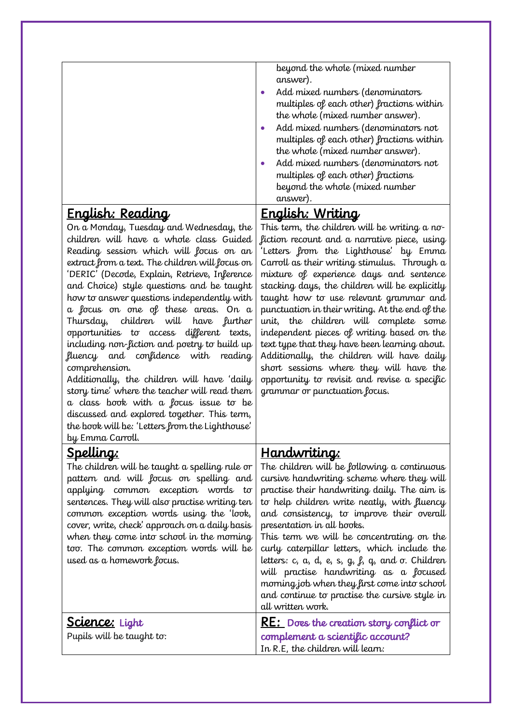|                                                 | beyond the whole (mixed number<br>answer).<br>Add mixed numbers (denominators<br>multiples of each other) fractions within<br>the whole (mixed number answer).<br>Add mixed numbers (denominators not<br>multiples of each other) fractions within<br>the whole (mixed number answer).<br>Add mixed numbers (denominators not<br>multiples of each other) fractions<br>beyond the whole (mixed number<br>answer). |
|-------------------------------------------------|-------------------------------------------------------------------------------------------------------------------------------------------------------------------------------------------------------------------------------------------------------------------------------------------------------------------------------------------------------------------------------------------------------------------|
| English: Reading                                | <u> English: Writing</u>                                                                                                                                                                                                                                                                                                                                                                                          |
| On a Monday, Tuesday and Wednesday, the         | This term, the children will be writing a no-                                                                                                                                                                                                                                                                                                                                                                     |
| children will have a whole class Guided         | fiction recount and a narrative piece, using                                                                                                                                                                                                                                                                                                                                                                      |
| Reading session which will focus on an          | 'Letters from the Lighthouse' by Emma                                                                                                                                                                                                                                                                                                                                                                             |
| extract from a text. The children will focus on | Carroll as their writing stimulus. Through a                                                                                                                                                                                                                                                                                                                                                                      |
| 'DERIC' (Decode, Explain, Retrieve, Inference   | mixture of experience days and sentence                                                                                                                                                                                                                                                                                                                                                                           |
| and Choice) style questions and be taught       | stacking days, the children will be explicitly                                                                                                                                                                                                                                                                                                                                                                    |

and Choice) style questions and be taught how to answer questions independently with a focus on one of these areas. On a Thursday, children will have further opportunities to access different texts, including non-fiction and poetry to build up fluency and confidence with reading comprehension.

Additionally, the children will have 'daily story time' where the teacher will read them a class book with a focus issue to be discussed and explored together. This term, the book will be: 'Letters from the Lighthouse' by Emma Carroll.

# <u>Spelling:</u>

The children will be taught a spelling rule or pattern and will focus on spelling and applying common exception words to sentences. They will also practise writing ten common exception words using the 'look, cover, write, check' approach on a daily basis when they come into school in the morning too. The common exception words will be used as a homework focus.

Science: Light Pupils will be taught to:

#### Handwriting:

grammar or punctuation focus.

The children will be following a continuous cursive handwriting scheme where they will practise their handwriting daily. The aim is to help children write neatly, with fluency and consistency, to improve their overall presentation in all books. This term we will be concentrating on the curly caterpillar letters, which include the letters: c, a, d, e, s,  $q_i$ ,  $l$ ,  $q_i$  and  $\sigma$ . Children

taught how to use relevant grammar and punctuation in their writing. At the end of the unit, the children will complete some independent pieces of writing based on the text type that they have been learning about. Additionally, the children will have daily short sessions where they will have the opportunity to revisit and revise a specific

will practise handwriting as a focused morning job when they first come into school and continue to practise the cursive style in all written work.

| RE: Does the creation story conflict or |
|-----------------------------------------|
| complement a scientific account?        |
| In R.E, the children will learn:        |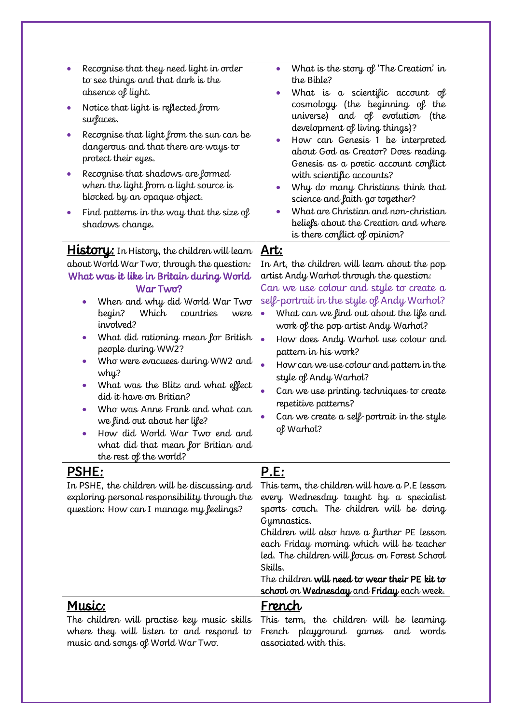| Recognise that they need light in order<br>to see things and that dark is the<br>absence of light.<br>Notice that light is reflected from<br>$\bullet$<br>surfaces.<br>Recognise that light from the sun can be<br>dangerous and that there are ways to<br>protect their eyes.<br>Recognise that shadows are formed<br>$\bullet$<br>when the light from a light source is<br>blocked by an opaque object.<br>Find patterns in the way that the size of<br>shadows change.                                                                                                                                  | What is the story of 'The Creation' in<br>the Bible?<br>What is a scientific account of<br>$\bullet$<br>cosmology (the beginning of the<br>universe) and of evolution<br>(the<br>development of living things)?<br>How can Genesis 1 be interpreted<br>about God as Creator? Does reading<br>Genesis as a poetic account conflict<br>with scientific accounts?<br>Why do many Christians think that<br>science and faith go together?<br>What are Christian and non-christian<br>beliefs about the Creation and where<br>is there conflict of opinion?                            |
|------------------------------------------------------------------------------------------------------------------------------------------------------------------------------------------------------------------------------------------------------------------------------------------------------------------------------------------------------------------------------------------------------------------------------------------------------------------------------------------------------------------------------------------------------------------------------------------------------------|-----------------------------------------------------------------------------------------------------------------------------------------------------------------------------------------------------------------------------------------------------------------------------------------------------------------------------------------------------------------------------------------------------------------------------------------------------------------------------------------------------------------------------------------------------------------------------------|
| <b>History:</b> In History, the children will learn<br>about World War Two, through the question:<br>What was it like in Britain during World<br>War Two?<br>When and why did World War Two<br>begin?<br>Which<br>countries<br>were<br>involved?<br>What did rationing mean for British<br>people during WW2?<br>Who were evacuees during WW2 and<br>why?<br>What was the Blitz and what effect<br>$\bullet$<br>did it have on Britian?<br>Who was Anne Frank and what can<br>we find out about her life?<br>How did World War Two end and<br>what did that mean for Britian and<br>the rest of the world? | <u>Art:</u><br>In Art, the children will learn about the pop<br>artist Andy Warhol through the question:<br>Can we use colour and style to create a<br>self-portrait in the style of Andy Warhol?<br>What can we find out about the life and<br>$\bullet$<br>work of the pop artist Andy Warhol?<br>How does Andy Warhol use colour and<br>$\bullet$<br>pattern in his work?<br>How can we use colour and pattern in the<br>style of Andy Warhol?<br>Can we use printing techniques to create<br>repetitive patterns?<br>Can we create a self-portrait in the style<br>of Warhol? |
| <u>PSHE:</u><br>In PSHE, the children will be discussing and<br>exploring personal responsibility through the<br>question: How can I manage my feelings?                                                                                                                                                                                                                                                                                                                                                                                                                                                   | P.E:<br>This term, the children will have a P.E lesson<br>every Wednesday taught by a specialist<br>sports coach. The children will be doing<br>Gymnastics.<br>Children will also have a further PE lesson<br>each Friday morning which will be teacher<br>led. The children will focus on Forest School<br>Skills.<br>The children will need to wear their PE kit to<br>school on Wednesday and Friday each week.                                                                                                                                                                |
| <u>Music:</u><br>The children will practise key music skills<br>where they will listen to and respond to<br>music and songs of World War Two.                                                                                                                                                                                                                                                                                                                                                                                                                                                              | <u>French</u><br>This term, the children will be learning<br>French playground games<br>and words<br>associated with this.                                                                                                                                                                                                                                                                                                                                                                                                                                                        |